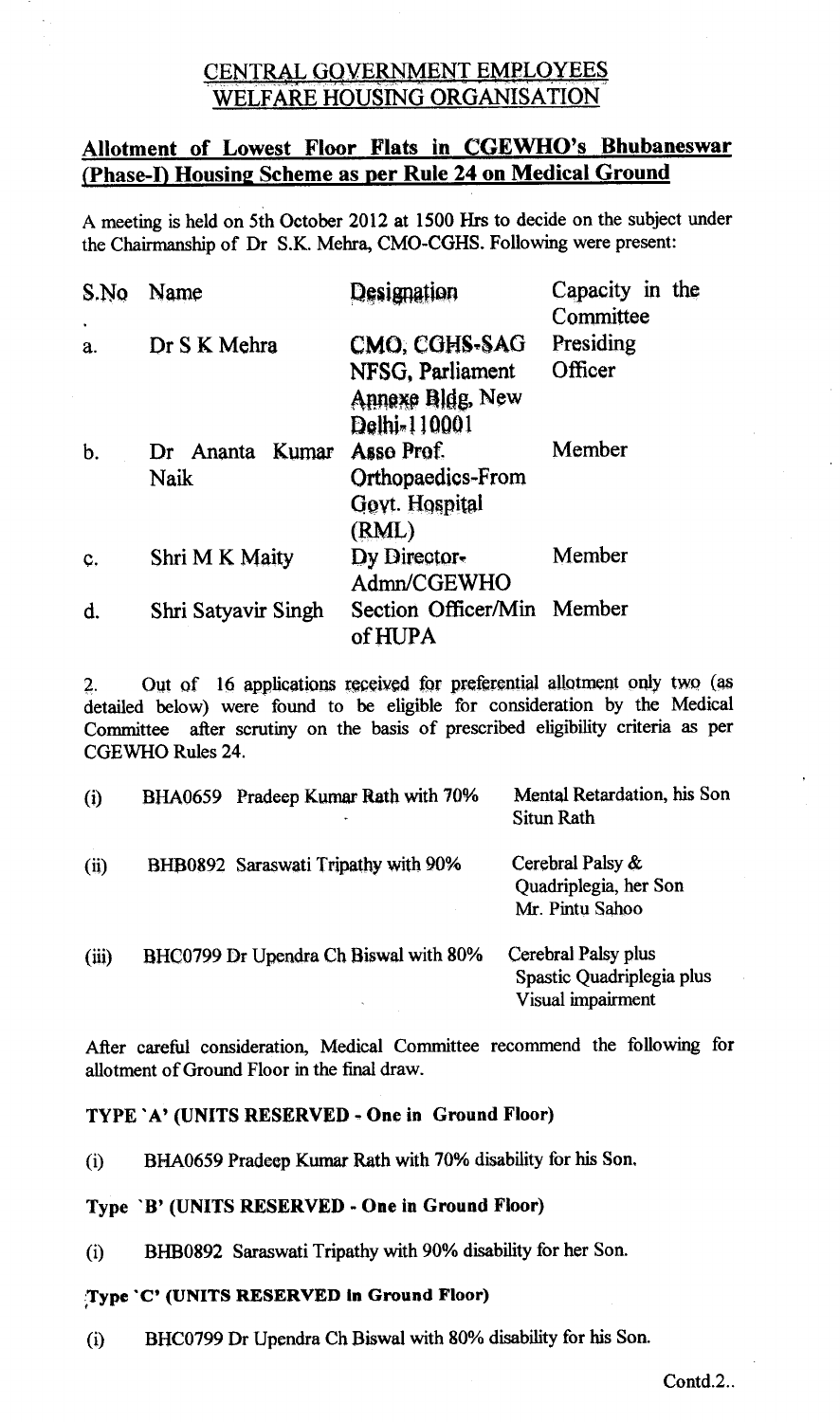## <u>CENTRAL GOVERNMENT EMPLOYEES</u> WELFARE HOUSING ORGANISATION

## Allotment of Lowest Floor Flats in CGEWHO's Bhubaneswar (Phase-I) Housing Scheme as per Rule 24 on Medical Ground

A meeting is held on 5th October 2012 at 1500 Hrs to decide on the subject under the Chairmanship of Dr S.K. Mehra, CMO-CGHS. Following were present:

| S.No<br>$\ddot{\phantom{0}}$ | Name                | Designation                           | Capacity in the<br>Committee |
|------------------------------|---------------------|---------------------------------------|------------------------------|
| a.                           | Dr S K Mehra        | CMO, CGHS-SAG                         | Presiding                    |
|                              |                     | NFSG, Parliament<br>Annexe Bldg, New  | Officer                      |
|                              |                     | Delhi-110001                          |                              |
| b.                           | Dr Ananta<br>Kumar  | Asso Prof.                            | Member                       |
|                              | Naik                | Orthopaedics-From                     |                              |
|                              |                     | Goyt. Hospital                        |                              |
|                              |                     | (RML)                                 |                              |
| c.                           | Shri M K Maity      | Dy Director-<br>Admn/CGEWHO           | Member                       |
| d.                           | Shri Satyavir Singh | Section Officer/Min Member<br>of HUPA |                              |

2. Out of 16 applications received for preferential allotment only two (as detailed below) were found to be eligible for consideration by the Medical Committee after scrutiny on the basis of prescribed eligibility criteria as per CGEWHO Rules 24.

| (i)   | BHA0659 Pradeep Kumar Rath with 70%   | Mental Retardation, his Son<br>Situn Rath                             |
|-------|---------------------------------------|-----------------------------------------------------------------------|
| (ii)  | BHB0892 Saraswati Tripathy with 90%   | Cerebral Palsy &<br>Quadriplegia, her Son<br>Mr. Pintu Sahoo          |
| (iii) | BHC0799 Dr Upendra Ch Biswal with 80% | Cerebral Palsy plus<br>Spastic Quadriplegia plus<br>Visual impairment |

After careful consideration, Medical Committee recommend the following for allotment of Ground Floor in the final draw.

#### TYPE' A' (UNITS RESERVED ~ One in Ground Floor)

(i) BHA0659 Pradeep Kumar Rath with 70% disability for his Son.

#### Type 'B' (UNITS RESERVED -One in Ground Floor)

(i) BHB0892 Saraswati Tripathy with 90% disability for her Son.

# 'Type 'C' (UNITS RESERVED In Ground Floor) ,

(i) BHC0799 Dr Upendra Ch Biswal with 80% disability for his Son.